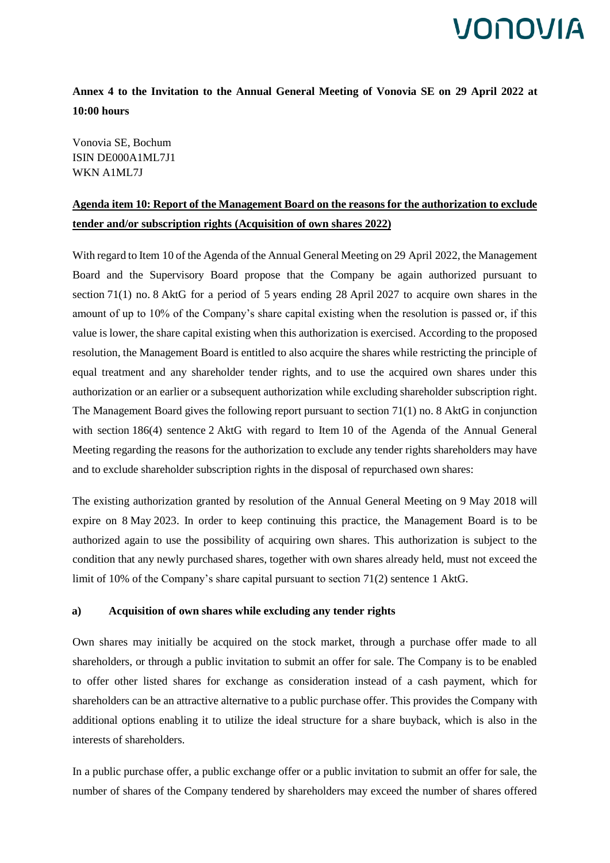### **Annex 4 to the Invitation to the Annual General Meeting of Vonovia SE on 29 April 2022 at 10:00 hours**

Vonovia SE, Bochum ISIN DE000A1ML7J1 WKN A1ML7J

## **Agenda item 10: Report of the Management Board on the reasons for the authorization to exclude tender and/or subscription rights (Acquisition of own shares 2022)**

With regard to Item 10 of the Agenda of the Annual General Meeting on 29 April 2022, the Management Board and the Supervisory Board propose that the Company be again authorized pursuant to section 71(1) no. 8 AktG for a period of 5 years ending 28 April 2027 to acquire own shares in the amount of up to 10% of the Company's share capital existing when the resolution is passed or, if this value is lower, the share capital existing when this authorization is exercised. According to the proposed resolution, the Management Board is entitled to also acquire the shares while restricting the principle of equal treatment and any shareholder tender rights, and to use the acquired own shares under this authorization or an earlier or a subsequent authorization while excluding shareholder subscription right. The Management Board gives the following report pursuant to section 71(1) no. 8 AktG in conjunction with section 186(4) sentence 2 AktG with regard to Item 10 of the Agenda of the Annual General Meeting regarding the reasons for the authorization to exclude any tender rights shareholders may have and to exclude shareholder subscription rights in the disposal of repurchased own shares:

The existing authorization granted by resolution of the Annual General Meeting on 9 May 2018 will expire on 8 May 2023. In order to keep continuing this practice, the Management Board is to be authorized again to use the possibility of acquiring own shares. This authorization is subject to the condition that any newly purchased shares, together with own shares already held, must not exceed the limit of 10% of the Company's share capital pursuant to section 71(2) sentence 1 AktG.

### **a) Acquisition of own shares while excluding any tender rights**

Own shares may initially be acquired on the stock market, through a purchase offer made to all shareholders, or through a public invitation to submit an offer for sale. The Company is to be enabled to offer other listed shares for exchange as consideration instead of a cash payment, which for shareholders can be an attractive alternative to a public purchase offer. This provides the Company with additional options enabling it to utilize the ideal structure for a share buyback, which is also in the interests of shareholders.

In a public purchase offer, a public exchange offer or a public invitation to submit an offer for sale, the number of shares of the Company tendered by shareholders may exceed the number of shares offered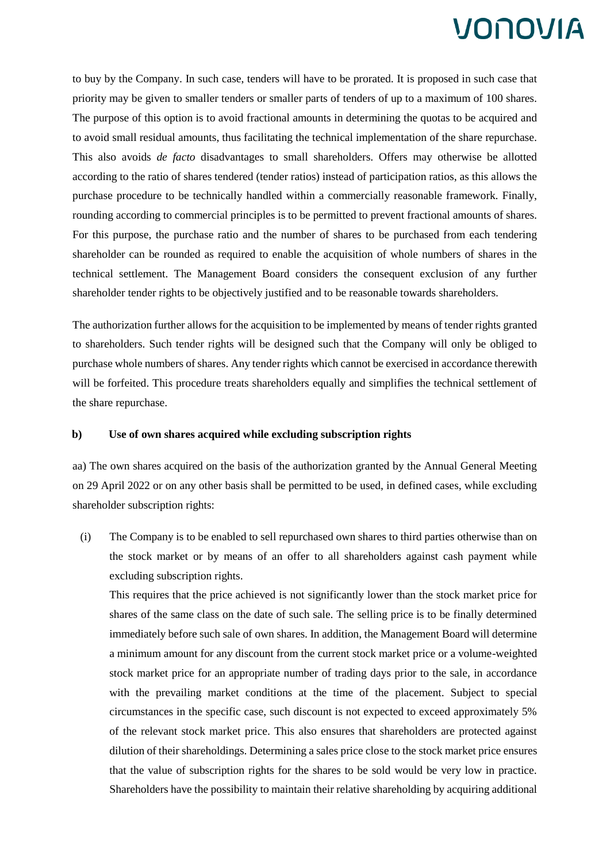to buy by the Company. In such case, tenders will have to be prorated. It is proposed in such case that priority may be given to smaller tenders or smaller parts of tenders of up to a maximum of 100 shares. The purpose of this option is to avoid fractional amounts in determining the quotas to be acquired and to avoid small residual amounts, thus facilitating the technical implementation of the share repurchase. This also avoids *de facto* disadvantages to small shareholders. Offers may otherwise be allotted according to the ratio of shares tendered (tender ratios) instead of participation ratios, as this allows the purchase procedure to be technically handled within a commercially reasonable framework. Finally, rounding according to commercial principles is to be permitted to prevent fractional amounts of shares. For this purpose, the purchase ratio and the number of shares to be purchased from each tendering shareholder can be rounded as required to enable the acquisition of whole numbers of shares in the technical settlement. The Management Board considers the consequent exclusion of any further shareholder tender rights to be objectively justified and to be reasonable towards shareholders.

The authorization further allows for the acquisition to be implemented by means of tender rights granted to shareholders. Such tender rights will be designed such that the Company will only be obliged to purchase whole numbers of shares. Any tender rights which cannot be exercised in accordance therewith will be forfeited. This procedure treats shareholders equally and simplifies the technical settlement of the share repurchase.

### **b) Use of own shares acquired while excluding subscription rights**

aa) The own shares acquired on the basis of the authorization granted by the Annual General Meeting on 29 April 2022 or on any other basis shall be permitted to be used, in defined cases, while excluding shareholder subscription rights:

(i) The Company is to be enabled to sell repurchased own shares to third parties otherwise than on the stock market or by means of an offer to all shareholders against cash payment while excluding subscription rights.

This requires that the price achieved is not significantly lower than the stock market price for shares of the same class on the date of such sale. The selling price is to be finally determined immediately before such sale of own shares. In addition, the Management Board will determine a minimum amount for any discount from the current stock market price or a volume-weighted stock market price for an appropriate number of trading days prior to the sale, in accordance with the prevailing market conditions at the time of the placement. Subject to special circumstances in the specific case, such discount is not expected to exceed approximately 5% of the relevant stock market price. This also ensures that shareholders are protected against dilution of their shareholdings. Determining a sales price close to the stock market price ensures that the value of subscription rights for the shares to be sold would be very low in practice. Shareholders have the possibility to maintain their relative shareholding by acquiring additional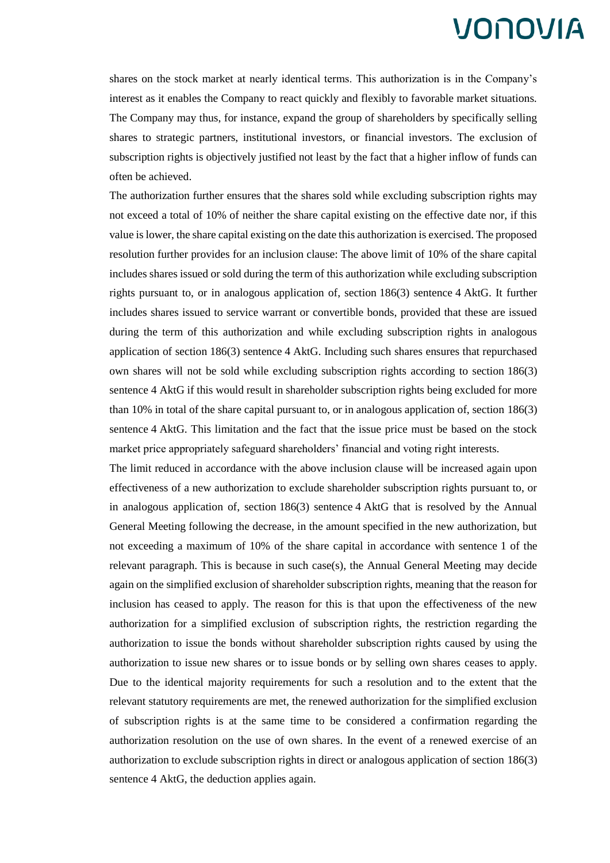shares on the stock market at nearly identical terms. This authorization is in the Company's interest as it enables the Company to react quickly and flexibly to favorable market situations. The Company may thus, for instance, expand the group of shareholders by specifically selling shares to strategic partners, institutional investors, or financial investors. The exclusion of subscription rights is objectively justified not least by the fact that a higher inflow of funds can often be achieved.

The authorization further ensures that the shares sold while excluding subscription rights may not exceed a total of 10% of neither the share capital existing on the effective date nor, if this value is lower, the share capital existing on the date this authorization is exercised. The proposed resolution further provides for an inclusion clause: The above limit of 10% of the share capital includes shares issued or sold during the term of this authorization while excluding subscription rights pursuant to, or in analogous application of, section 186(3) sentence 4 AktG. It further includes shares issued to service warrant or convertible bonds, provided that these are issued during the term of this authorization and while excluding subscription rights in analogous application of section 186(3) sentence 4 AktG. Including such shares ensures that repurchased own shares will not be sold while excluding subscription rights according to section 186(3) sentence 4 AktG if this would result in shareholder subscription rights being excluded for more than 10% in total of the share capital pursuant to, or in analogous application of, section 186(3) sentence 4 AktG. This limitation and the fact that the issue price must be based on the stock market price appropriately safeguard shareholders' financial and voting right interests.

The limit reduced in accordance with the above inclusion clause will be increased again upon effectiveness of a new authorization to exclude shareholder subscription rights pursuant to, or in analogous application of, section 186(3) sentence 4 AktG that is resolved by the Annual General Meeting following the decrease, in the amount specified in the new authorization, but not exceeding a maximum of 10% of the share capital in accordance with sentence 1 of the relevant paragraph. This is because in such case(s), the Annual General Meeting may decide again on the simplified exclusion of shareholder subscription rights, meaning that the reason for inclusion has ceased to apply. The reason for this is that upon the effectiveness of the new authorization for a simplified exclusion of subscription rights, the restriction regarding the authorization to issue the bonds without shareholder subscription rights caused by using the authorization to issue new shares or to issue bonds or by selling own shares ceases to apply. Due to the identical majority requirements for such a resolution and to the extent that the relevant statutory requirements are met, the renewed authorization for the simplified exclusion of subscription rights is at the same time to be considered a confirmation regarding the authorization resolution on the use of own shares. In the event of a renewed exercise of an authorization to exclude subscription rights in direct or analogous application of section 186(3) sentence 4 AktG, the deduction applies again.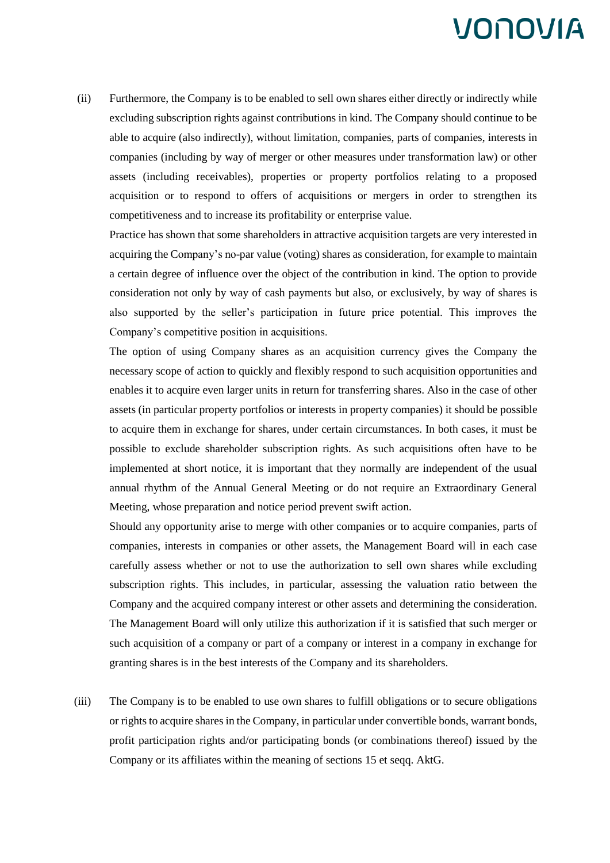(ii) Furthermore, the Company is to be enabled to sell own shares either directly or indirectly while excluding subscription rights against contributions in kind. The Company should continue to be able to acquire (also indirectly), without limitation, companies, parts of companies, interests in companies (including by way of merger or other measures under transformation law) or other assets (including receivables), properties or property portfolios relating to a proposed acquisition or to respond to offers of acquisitions or mergers in order to strengthen its competitiveness and to increase its profitability or enterprise value.

Practice has shown that some shareholders in attractive acquisition targets are very interested in acquiring the Company's no-par value (voting) shares as consideration, for example to maintain a certain degree of influence over the object of the contribution in kind. The option to provide consideration not only by way of cash payments but also, or exclusively, by way of shares is also supported by the seller's participation in future price potential. This improves the Company's competitive position in acquisitions.

The option of using Company shares as an acquisition currency gives the Company the necessary scope of action to quickly and flexibly respond to such acquisition opportunities and enables it to acquire even larger units in return for transferring shares. Also in the case of other assets (in particular property portfolios or interests in property companies) it should be possible to acquire them in exchange for shares, under certain circumstances. In both cases, it must be possible to exclude shareholder subscription rights. As such acquisitions often have to be implemented at short notice, it is important that they normally are independent of the usual annual rhythm of the Annual General Meeting or do not require an Extraordinary General Meeting, whose preparation and notice period prevent swift action.

Should any opportunity arise to merge with other companies or to acquire companies, parts of companies, interests in companies or other assets, the Management Board will in each case carefully assess whether or not to use the authorization to sell own shares while excluding subscription rights. This includes, in particular, assessing the valuation ratio between the Company and the acquired company interest or other assets and determining the consideration. The Management Board will only utilize this authorization if it is satisfied that such merger or such acquisition of a company or part of a company or interest in a company in exchange for granting shares is in the best interests of the Company and its shareholders.

(iii) The Company is to be enabled to use own shares to fulfill obligations or to secure obligations or rights to acquire shares in the Company, in particular under convertible bonds, warrant bonds, profit participation rights and/or participating bonds (or combinations thereof) issued by the Company or its affiliates within the meaning of sections 15 et seqq. AktG.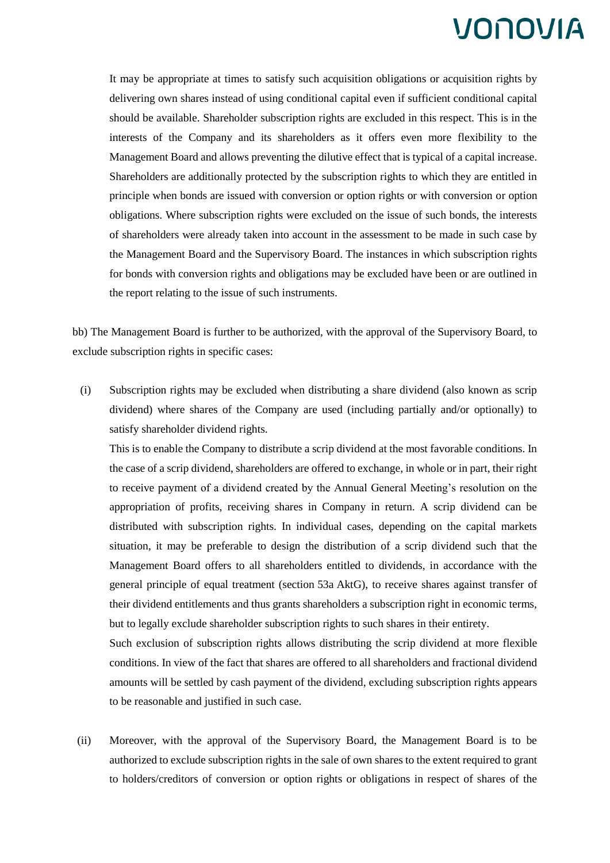It may be appropriate at times to satisfy such acquisition obligations or acquisition rights by delivering own shares instead of using conditional capital even if sufficient conditional capital should be available. Shareholder subscription rights are excluded in this respect. This is in the interests of the Company and its shareholders as it offers even more flexibility to the Management Board and allows preventing the dilutive effect that is typical of a capital increase. Shareholders are additionally protected by the subscription rights to which they are entitled in principle when bonds are issued with conversion or option rights or with conversion or option obligations. Where subscription rights were excluded on the issue of such bonds, the interests of shareholders were already taken into account in the assessment to be made in such case by the Management Board and the Supervisory Board. The instances in which subscription rights for bonds with conversion rights and obligations may be excluded have been or are outlined in the report relating to the issue of such instruments.

bb) The Management Board is further to be authorized, with the approval of the Supervisory Board, to exclude subscription rights in specific cases:

(i) Subscription rights may be excluded when distributing a share dividend (also known as scrip dividend) where shares of the Company are used (including partially and/or optionally) to satisfy shareholder dividend rights.

This is to enable the Company to distribute a scrip dividend at the most favorable conditions. In the case of a scrip dividend, shareholders are offered to exchange, in whole or in part, their right to receive payment of a dividend created by the Annual General Meeting's resolution on the appropriation of profits, receiving shares in Company in return. A scrip dividend can be distributed with subscription rights. In individual cases, depending on the capital markets situation, it may be preferable to design the distribution of a scrip dividend such that the Management Board offers to all shareholders entitled to dividends, in accordance with the general principle of equal treatment (section 53a AktG), to receive shares against transfer of their dividend entitlements and thus grants shareholders a subscription right in economic terms, but to legally exclude shareholder subscription rights to such shares in their entirety.

Such exclusion of subscription rights allows distributing the scrip dividend at more flexible conditions. In view of the fact that shares are offered to all shareholders and fractional dividend amounts will be settled by cash payment of the dividend, excluding subscription rights appears to be reasonable and justified in such case.

(ii) Moreover, with the approval of the Supervisory Board, the Management Board is to be authorized to exclude subscription rights in the sale of own shares to the extent required to grant to holders/creditors of conversion or option rights or obligations in respect of shares of the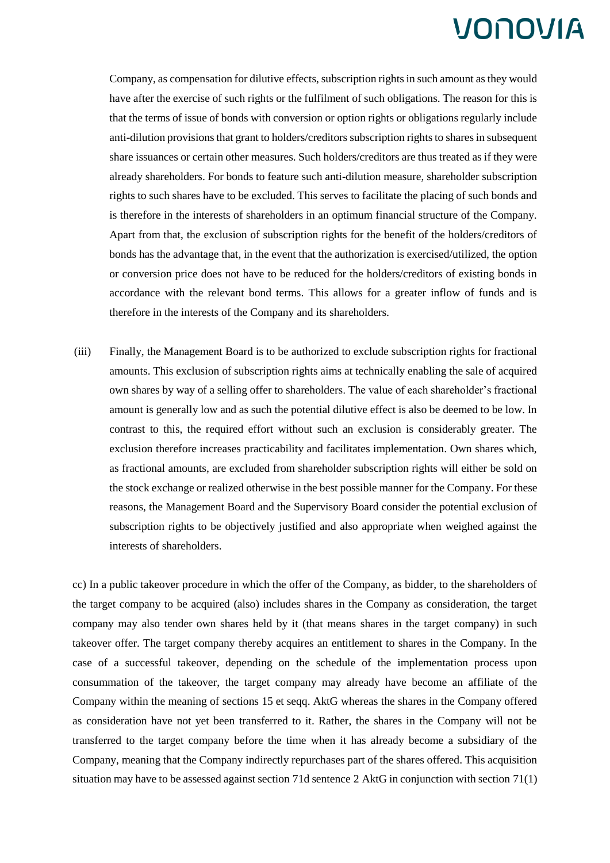Company, as compensation for dilutive effects, subscription rights in such amount as they would have after the exercise of such rights or the fulfilment of such obligations. The reason for this is that the terms of issue of bonds with conversion or option rights or obligations regularly include anti-dilution provisions that grant to holders/creditors subscription rights to shares in subsequent share issuances or certain other measures. Such holders/creditors are thus treated as if they were already shareholders. For bonds to feature such anti-dilution measure, shareholder subscription rights to such shares have to be excluded. This serves to facilitate the placing of such bonds and is therefore in the interests of shareholders in an optimum financial structure of the Company. Apart from that, the exclusion of subscription rights for the benefit of the holders/creditors of bonds has the advantage that, in the event that the authorization is exercised/utilized, the option or conversion price does not have to be reduced for the holders/creditors of existing bonds in accordance with the relevant bond terms. This allows for a greater inflow of funds and is therefore in the interests of the Company and its shareholders.

(iii) Finally, the Management Board is to be authorized to exclude subscription rights for fractional amounts. This exclusion of subscription rights aims at technically enabling the sale of acquired own shares by way of a selling offer to shareholders. The value of each shareholder's fractional amount is generally low and as such the potential dilutive effect is also be deemed to be low. In contrast to this, the required effort without such an exclusion is considerably greater. The exclusion therefore increases practicability and facilitates implementation. Own shares which, as fractional amounts, are excluded from shareholder subscription rights will either be sold on the stock exchange or realized otherwise in the best possible manner for the Company. For these reasons, the Management Board and the Supervisory Board consider the potential exclusion of subscription rights to be objectively justified and also appropriate when weighed against the interests of shareholders.

cc) In a public takeover procedure in which the offer of the Company, as bidder, to the shareholders of the target company to be acquired (also) includes shares in the Company as consideration, the target company may also tender own shares held by it (that means shares in the target company) in such takeover offer. The target company thereby acquires an entitlement to shares in the Company. In the case of a successful takeover, depending on the schedule of the implementation process upon consummation of the takeover, the target company may already have become an affiliate of the Company within the meaning of sections 15 et seqq. AktG whereas the shares in the Company offered as consideration have not yet been transferred to it. Rather, the shares in the Company will not be transferred to the target company before the time when it has already become a subsidiary of the Company, meaning that the Company indirectly repurchases part of the shares offered. This acquisition situation may have to be assessed against section 71d sentence 2 AktG in conjunction with section 71(1)